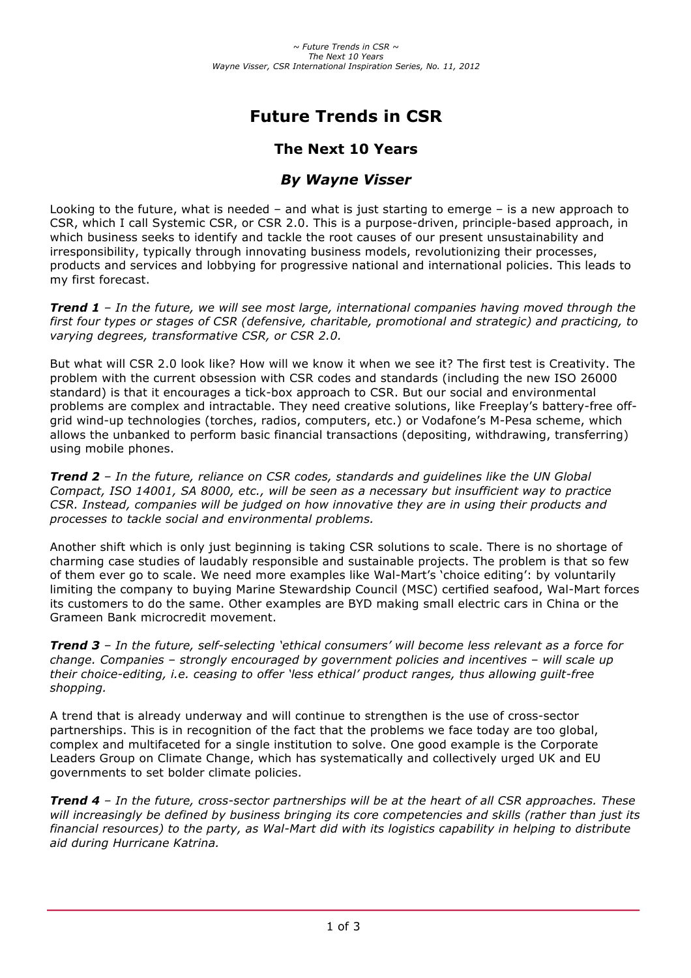# **Future Trends in CSR**

# **The Next 10 Years**

## *By Wayne Visser*

Looking to the future, what is needed – and what is just starting to emerge – is a new approach to CSR, which I call Systemic CSR, or CSR 2.0. This is a purpose-driven, principle-based approach, in which business seeks to identify and tackle the root causes of our present unsustainability and irresponsibility, typically through innovating business models, revolutionizing their processes, products and services and lobbying for progressive national and international policies. This leads to my first forecast.

*Trend 1 – In the future, we will see most large, international companies having moved through the first four types or stages of CSR (defensive, charitable, promotional and strategic) and practicing, to varying degrees, transformative CSR, or CSR 2.0.*

But what will CSR 2.0 look like? How will we know it when we see it? The first test is Creativity. The problem with the current obsession with CSR codes and standards (including the new ISO 26000 standard) is that it encourages a tick-box approach to CSR. But our social and environmental problems are complex and intractable. They need creative solutions, like Freeplay's battery-free offgrid wind-up technologies (torches, radios, computers, etc.) or Vodafone's M-Pesa scheme, which allows the unbanked to perform basic financial transactions (depositing, withdrawing, transferring) using mobile phones.

*Trend 2 – In the future, reliance on CSR codes, standards and guidelines like the UN Global Compact, ISO 14001, SA 8000, etc., will be seen as a necessary but insufficient way to practice CSR. Instead, companies will be judged on how innovative they are in using their products and processes to tackle social and environmental problems.*

Another shift which is only just beginning is taking CSR solutions to scale. There is no shortage of charming case studies of laudably responsible and sustainable projects. The problem is that so few of them ever go to scale. We need more examples like Wal-Mart's 'choice editing': by voluntarily limiting the company to buying Marine Stewardship Council (MSC) certified seafood, Wal-Mart forces its customers to do the same. Other examples are BYD making small electric cars in China or the Grameen Bank microcredit movement.

*Trend 3 – In the future, self-selecting 'ethical consumers' will become less relevant as a force for change. Companies – strongly encouraged by government policies and incentives – will scale up their choice-editing, i.e. ceasing to offer 'less ethical' product ranges, thus allowing guilt-free shopping.*

A trend that is already underway and will continue to strengthen is the use of cross-sector partnerships. This is in recognition of the fact that the problems we face today are too global, complex and multifaceted for a single institution to solve. One good example is the Corporate Leaders Group on Climate Change, which has systematically and collectively urged UK and EU governments to set bolder climate policies.

*Trend 4 – In the future, cross-sector partnerships will be at the heart of all CSR approaches. These will increasingly be defined by business bringing its core competencies and skills (rather than just its financial resources) to the party, as Wal-Mart did with its logistics capability in helping to distribute aid during Hurricane Katrina.*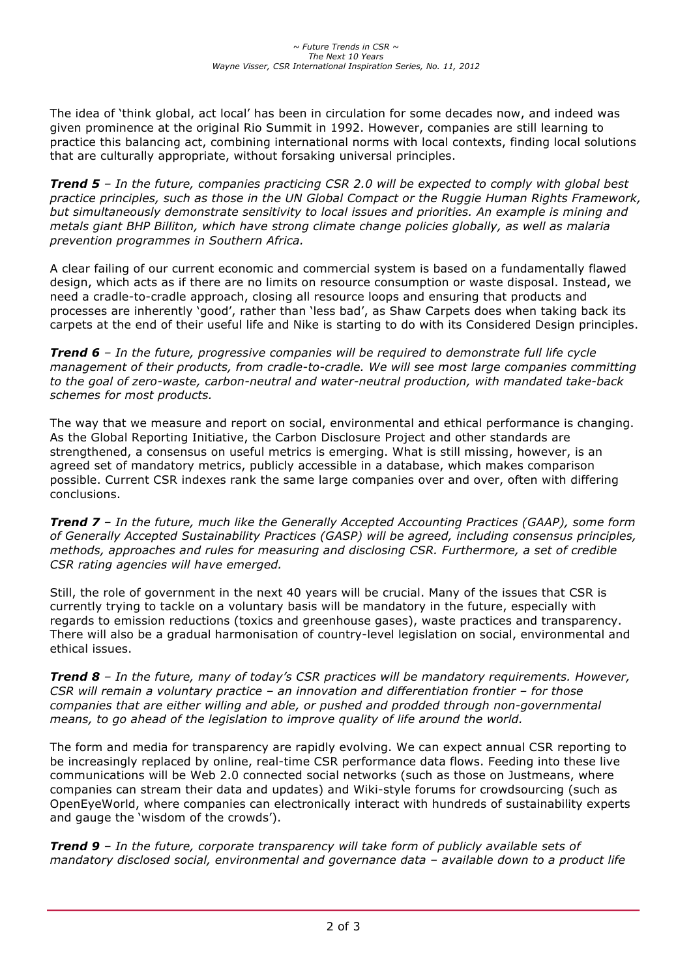The idea of 'think global, act local' has been in circulation for some decades now, and indeed was given prominence at the original Rio Summit in 1992. However, companies are still learning to practice this balancing act, combining international norms with local contexts, finding local solutions that are culturally appropriate, without forsaking universal principles.

*Trend 5 – In the future, companies practicing CSR 2.0 will be expected to comply with global best practice principles, such as those in the UN Global Compact or the Ruggie Human Rights Framework, but simultaneously demonstrate sensitivity to local issues and priorities. An example is mining and metals giant BHP Billiton, which have strong climate change policies globally, as well as malaria prevention programmes in Southern Africa.*

A clear failing of our current economic and commercial system is based on a fundamentally flawed design, which acts as if there are no limits on resource consumption or waste disposal. Instead, we need a cradle-to-cradle approach, closing all resource loops and ensuring that products and processes are inherently 'good', rather than 'less bad', as Shaw Carpets does when taking back its carpets at the end of their useful life and Nike is starting to do with its Considered Design principles.

*Trend 6 – In the future, progressive companies will be required to demonstrate full life cycle management of their products, from cradle-to-cradle. We will see most large companies committing to the goal of zero-waste, carbon-neutral and water-neutral production, with mandated take-back schemes for most products.*

The way that we measure and report on social, environmental and ethical performance is changing. As the Global Reporting Initiative, the Carbon Disclosure Project and other standards are strengthened, a consensus on useful metrics is emerging. What is still missing, however, is an agreed set of mandatory metrics, publicly accessible in a database, which makes comparison possible. Current CSR indexes rank the same large companies over and over, often with differing conclusions.

*Trend 7 – In the future, much like the Generally Accepted Accounting Practices (GAAP), some form of Generally Accepted Sustainability Practices (GASP) will be agreed, including consensus principles, methods, approaches and rules for measuring and disclosing CSR. Furthermore, a set of credible CSR rating agencies will have emerged.* 

Still, the role of government in the next 40 years will be crucial. Many of the issues that CSR is currently trying to tackle on a voluntary basis will be mandatory in the future, especially with regards to emission reductions (toxics and greenhouse gases), waste practices and transparency. There will also be a gradual harmonisation of country-level legislation on social, environmental and ethical issues.

*Trend 8 – In the future, many of today's CSR practices will be mandatory requirements. However, CSR will remain a voluntary practice – an innovation and differentiation frontier – for those companies that are either willing and able, or pushed and prodded through non-governmental means, to go ahead of the legislation to improve quality of life around the world.*

The form and media for transparency are rapidly evolving. We can expect annual CSR reporting to be increasingly replaced by online, real-time CSR performance data flows. Feeding into these live communications will be Web 2.0 connected social networks (such as those on Justmeans, where companies can stream their data and updates) and Wiki-style forums for crowdsourcing (such as OpenEyeWorld, where companies can electronically interact with hundreds of sustainability experts and gauge the 'wisdom of the crowds').

*Trend 9 – In the future, corporate transparency will take form of publicly available sets of mandatory disclosed social, environmental and governance data – available down to a product life*